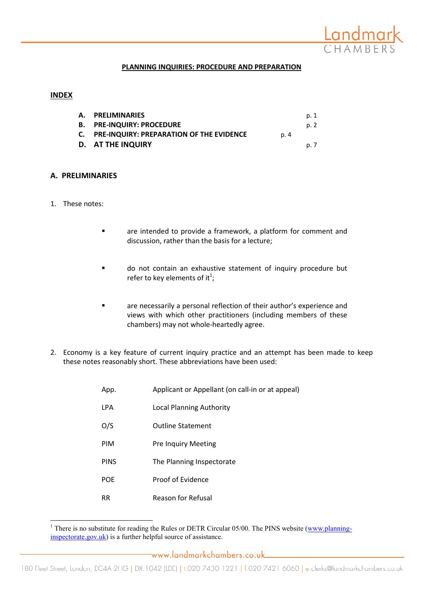

### PLANNING INQUIRIES: PROCEDURE AND PREPARATION

#### INDEX

| A. PRELIMINARIES                            |      | p. 1 |
|---------------------------------------------|------|------|
| <b>B. PRE-INQUIRY: PROCEDURE</b>            |      | p. 2 |
| C. PRE-INQUIRY: PREPARATION OF THE EVIDENCE | p. 4 |      |
| D. AT THE INQUIRY                           |      | p. 7 |

#### A. PRELIMINARIES

1. These notes:

l

- **Example 1** are intended to provide a framework, a platform for comment and discussion, rather than the basis for a lecture;
- do not contain an exhaustive statement of inquiry procedure but refer to key elements of it $^1$ ;
- are necessarily a personal reflection of their author's experience and views with which other practitioners (including members of these chambers) may not whole-heartedly agree.
- 2. Economy is a key feature of current inquiry practice and an attempt has been made to keep these notes reasonably short. These abbreviations have been used:

| App.        | Applicant or Appellant (on call-in or at appeal) |
|-------------|--------------------------------------------------|
| <b>LPA</b>  | Local Planning Authority                         |
| O/S         | <b>Outline Statement</b>                         |
| PIM         | <b>Pre Inquiry Meeting</b>                       |
| <b>PINS</b> | The Planning Inspectorate                        |
| <b>POE</b>  | Proof of Evidence                                |
| RR          | <b>Reason for Refusal</b>                        |

<sup>&</sup>lt;sup>1</sup> There is no substitute for reading the Rules or DETR Circular 05/00. The PINS website (www.planninginspectorate.gov.uk) is a further helpful source of assistance.

www.landmarkchambers.co.uk\_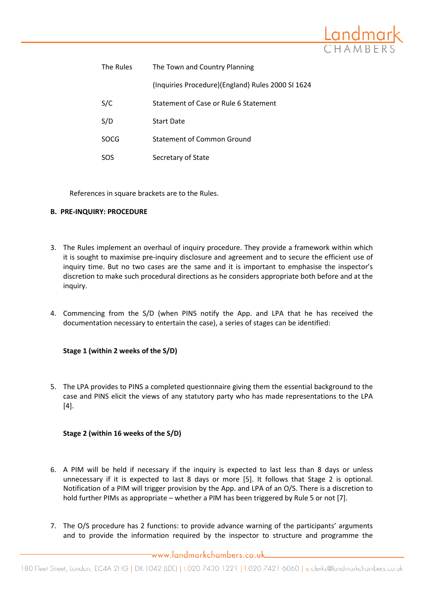

| The Rules | The Town and Country Planning                     |
|-----------|---------------------------------------------------|
|           | (Inquiries Procedure)(England) Rules 2000 SI 1624 |
| S/C       | Statement of Case or Rule 6 Statement             |
| S/D       | <b>Start Date</b>                                 |
| SOCG      | Statement of Common Ground                        |
| SOS       | Secretary of State                                |

References in square brackets are to the Rules.

## B. PRE-INQUIRY: PROCEDURE

- 3. The Rules implement an overhaul of inquiry procedure. They provide a framework within which it is sought to maximise pre-inquiry disclosure and agreement and to secure the efficient use of inquiry time. But no two cases are the same and it is important to emphasise the inspector's discretion to make such procedural directions as he considers appropriate both before and at the inquiry.
- 4. Commencing from the S/D (when PINS notify the App. and LPA that he has received the documentation necessary to entertain the case), a series of stages can be identified:

# Stage 1 (within 2 weeks of the S/D)

5. The LPA provides to PINS a completed questionnaire giving them the essential background to the case and PINS elicit the views of any statutory party who has made representations to the LPA  $[4]$ .

# Stage 2 (within 16 weeks of the S/D)

- 6. A PIM will be held if necessary if the inquiry is expected to last less than 8 days or unless unnecessary if it is expected to last 8 days or more [5]. It follows that Stage 2 is optional. Notification of a PIM will trigger provision by the App. and LPA of an O/S. There is a discretion to hold further PIMs as appropriate – whether a PIM has been triggered by Rule 5 or not [7].
- 7. The O/S procedure has 2 functions: to provide advance warning of the participants' arguments and to provide the information required by the inspector to structure and programme the

www.landmarkchambers.co.uk.....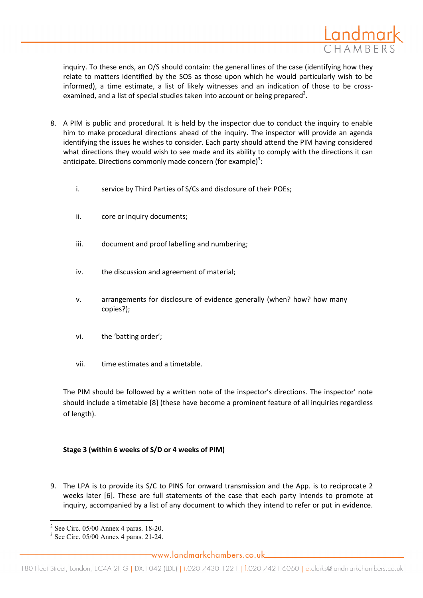

inquiry. To these ends, an O/S should contain: the general lines of the case (identifying how they relate to matters identified by the SOS as those upon which he would particularly wish to be informed), a time estimate, a list of likely witnesses and an indication of those to be crossexamined, and a list of special studies taken into account or being prepared<sup>2</sup>.

- 8. A PIM is public and procedural. It is held by the inspector due to conduct the inquiry to enable him to make procedural directions ahead of the inquiry. The inspector will provide an agenda identifying the issues he wishes to consider. Each party should attend the PIM having considered what directions they would wish to see made and its ability to comply with the directions it can anticipate. Directions commonly made concern (for example)<sup>3</sup>:
	- i. service by Third Parties of S/Cs and disclosure of their POEs;
	- ii. core or inquiry documents;
	- iii. document and proof labelling and numbering;
	- iv. the discussion and agreement of material;
	- v. arrangements for disclosure of evidence generally (when? how? how many copies?);
	- vi. the 'batting order';
	- vii. time estimates and a timetable.

The PIM should be followed by a written note of the inspector's directions. The inspector' note should include a timetable [8] (these have become a prominent feature of all inquiries regardless of length).

### Stage 3 (within 6 weeks of S/D or 4 weeks of PIM)

9. The LPA is to provide its S/C to PINS for onward transmission and the App. is to reciprocate 2 weeks later [6]. These are full statements of the case that each party intends to promote at inquiry, accompanied by a list of any document to which they intend to refer or put in evidence.

l 2 See Circ. 05/00 Annex 4 paras. 18-20.

<sup>3</sup> See Circ. 05/00 Annex 4 paras. 21-24.

www.landmarkchambers.co.uk.....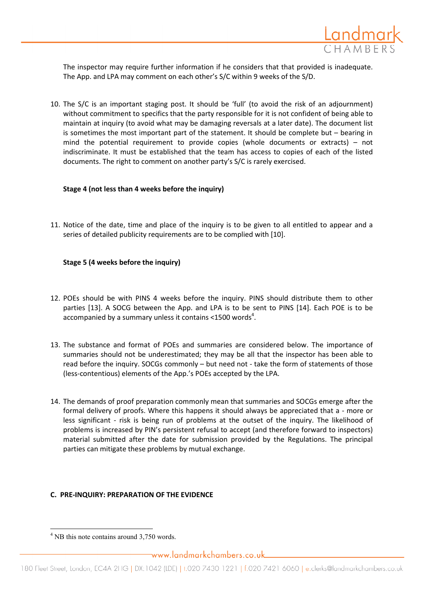

The inspector may require further information if he considers that that provided is inadequate. The App. and LPA may comment on each other's S/C within 9 weeks of the S/D.

10. The S/C is an important staging post. It should be 'full' (to avoid the risk of an adjournment) without commitment to specifics that the party responsible for it is not confident of being able to maintain at inquiry (to avoid what may be damaging reversals at a later date). The document list is sometimes the most important part of the statement. It should be complete but – bearing in mind the potential requirement to provide copies (whole documents or extracts) – not indiscriminate. It must be established that the team has access to copies of each of the listed documents. The right to comment on another party's S/C is rarely exercised.

### Stage 4 (not less than 4 weeks before the inquiry)

11. Notice of the date, time and place of the inquiry is to be given to all entitled to appear and a series of detailed publicity requirements are to be complied with [10].

### Stage 5 (4 weeks before the inquiry)

- 12. POEs should be with PINS 4 weeks before the inquiry. PINS should distribute them to other parties [13]. A SOCG between the App. and LPA is to be sent to PINS [14]. Each POE is to be accompanied by a summary unless it contains <1500 words<sup>4</sup>.
- 13. The substance and format of POEs and summaries are considered below. The importance of summaries should not be underestimated; they may be all that the inspector has been able to read before the inquiry. SOCGs commonly – but need not - take the form of statements of those (less-contentious) elements of the App.'s POEs accepted by the LPA.
- 14. The demands of proof preparation commonly mean that summaries and SOCGs emerge after the formal delivery of proofs. Where this happens it should always be appreciated that a - more or less significant - risk is being run of problems at the outset of the inquiry. The likelihood of problems is increased by PIN's persistent refusal to accept (and therefore forward to inspectors) material submitted after the date for submission provided by the Regulations. The principal parties can mitigate these problems by mutual exchange.

### C. PRE-INQUIRY: PREPARATION OF THE EVIDENCE

l

<sup>&</sup>lt;sup>4</sup> NB this note contains around 3,750 words.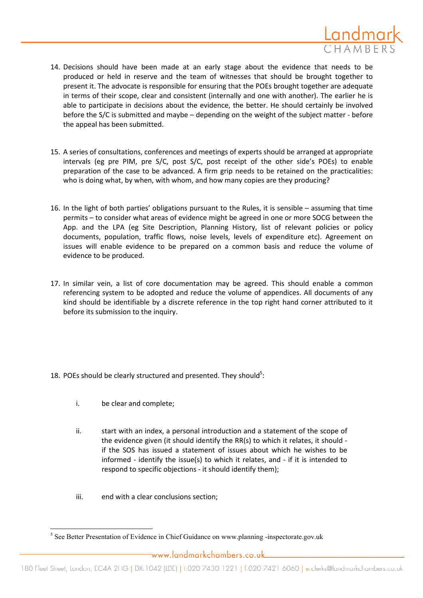

- 14. Decisions should have been made at an early stage about the evidence that needs to be produced or held in reserve and the team of witnesses that should be brought together to present it. The advocate is responsible for ensuring that the POEs brought together are adequate in terms of their scope, clear and consistent (internally and one with another). The earlier he is able to participate in decisions about the evidence, the better. He should certainly be involved before the S/C is submitted and maybe – depending on the weight of the subject matter - before the appeal has been submitted.
- 15. A series of consultations, conferences and meetings of experts should be arranged at appropriate intervals (eg pre PIM, pre S/C, post S/C, post receipt of the other side's POEs) to enable preparation of the case to be advanced. A firm grip needs to be retained on the practicalities: who is doing what, by when, with whom, and how many copies are they producing?
- 16. In the light of both parties' obligations pursuant to the Rules, it is sensible assuming that time permits – to consider what areas of evidence might be agreed in one or more SOCG between the App. and the LPA (eg Site Description, Planning History, list of relevant policies or policy documents, population, traffic flows, noise levels, levels of expenditure etc). Agreement on issues will enable evidence to be prepared on a common basis and reduce the volume of evidence to be produced.
- 17. In similar vein, a list of core documentation may be agreed. This should enable a common referencing system to be adopted and reduce the volume of appendices. All documents of any kind should be identifiable by a discrete reference in the top right hand corner attributed to it before its submission to the inquiry.
- 18. POEs should be clearly structured and presented. They should<sup>5</sup>:
	- i. be clear and complete;

l

- ii. start with an index, a personal introduction and a statement of the scope of the evidence given (it should identify the RR(s) to which it relates, it should if the SOS has issued a statement of issues about which he wishes to be informed - identify the issue(s) to which it relates, and - if it is intended to respond to specific objections - it should identify them);
- iii. end with a clear conclusions section;

<sup>&</sup>lt;sup>5</sup> See Better Presentation of Evidence in Chief Guidance on www.planning -inspectorate.gov.uk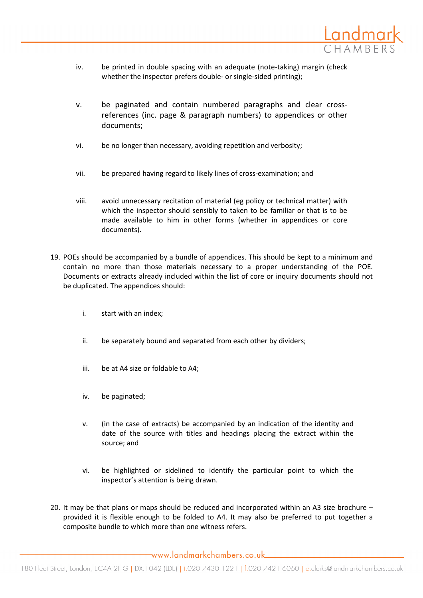

- iv. be printed in double spacing with an adequate (note-taking) margin (check whether the inspector prefers double- or single-sided printing);
- v. be paginated and contain numbered paragraphs and clear crossreferences (inc. page & paragraph numbers) to appendices or other documents;
- vi. be no longer than necessary, avoiding repetition and verbosity;
- vii. be prepared having regard to likely lines of cross-examination; and
- viii. avoid unnecessary recitation of material (eg policy or technical matter) with which the inspector should sensibly to taken to be familiar or that is to be made available to him in other forms (whether in appendices or core documents).
- 19. POEs should be accompanied by a bundle of appendices. This should be kept to a minimum and contain no more than those materials necessary to a proper understanding of the POE. Documents or extracts already included within the list of core or inquiry documents should not be duplicated. The appendices should:
	- i. start with an index;
	- ii. be separately bound and separated from each other by dividers;
	- iii. be at A4 size or foldable to A4;
	- iv. be paginated;
	- v. (in the case of extracts) be accompanied by an indication of the identity and date of the source with titles and headings placing the extract within the source; and
	- vi. be highlighted or sidelined to identify the particular point to which the inspector's attention is being drawn.
- 20. It may be that plans or maps should be reduced and incorporated within an A3 size brochure provided it is flexible enough to be folded to A4. It may also be preferred to put together a composite bundle to which more than one witness refers.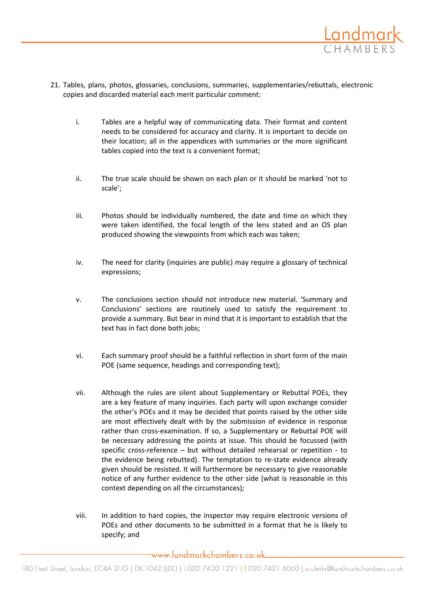

- 21. Tables, plans, photos, glossaries, conclusions, summaries, supplementaries/rebuttals, electronic copies and discarded material each merit particular comment:
	- i. Tables are a helpful way of communicating data. Their format and content needs to be considered for accuracy and clarity. It is important to decide on their location; all in the appendices with summaries or the more significant tables copied into the text is a convenient format;
	- ii. The true scale should be shown on each plan or it should be marked 'not to scale';
	- iii. Photos should be individually numbered, the date and time on which they were taken identified, the focal length of the lens stated and an OS plan produced showing the viewpoints from which each was taken;
	- iv. The need for clarity (inquiries are public) may require a glossary of technical expressions;
	- v. The conclusions section should not introduce new material. 'Summary and Conclusions' sections are routinely used to satisfy the requirement to provide a summary. But bear in mind that it is important to establish that the text has in fact done both jobs;
	- vi. Each summary proof should be a faithful reflection in short form of the main POE (same sequence, headings and corresponding text);
	- vii. Although the rules are silent about Supplementary or Rebuttal POEs, they are a key feature of many inquiries. Each party will upon exchange consider the other's POEs and it may be decided that points raised by the other side are most effectively dealt with by the submission of evidence in response rather than cross-examination. If so, a Supplementary or Rebuttal POE will be necessary addressing the points at issue. This should be focussed (with specific cross-reference – but without detailed rehearsal or repetition - to the evidence being rebutted). The temptation to re-state evidence already given should be resisted. It will furthermore be necessary to give reasonable notice of any further evidence to the other side (what is reasonable in this context depending on all the circumstances);
	- viii. In addition to hard copies, the inspector may require electronic versions of POEs and other documents to be submitted in a format that he is likely to specify; and

\_www.landmarkchambers.co.uk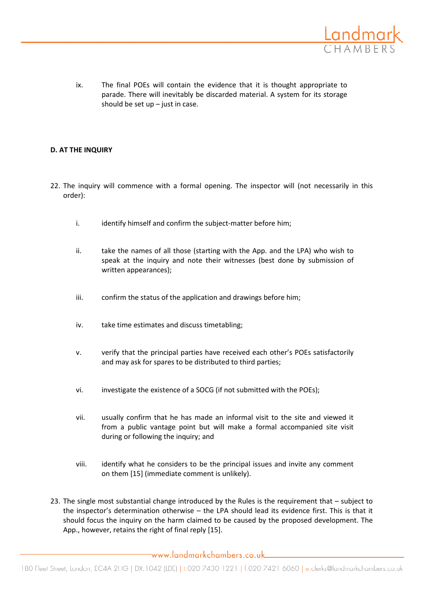

ix. The final POEs will contain the evidence that it is thought appropriate to parade. There will inevitably be discarded material. A system for its storage should be set up  $-$  just in case.

## D. AT THE INQUIRY

- 22. The inquiry will commence with a formal opening. The inspector will (not necessarily in this order):
	- i. identify himself and confirm the subject-matter before him;
	- ii. take the names of all those (starting with the App. and the LPA) who wish to speak at the inquiry and note their witnesses (best done by submission of written appearances);
	- iii. confirm the status of the application and drawings before him;
	- iv. take time estimates and discuss timetabling;
	- v. verify that the principal parties have received each other's POEs satisfactorily and may ask for spares to be distributed to third parties;
	- vi. investigate the existence of a SOCG (if not submitted with the POEs);
	- vii. usually confirm that he has made an informal visit to the site and viewed it from a public vantage point but will make a formal accompanied site visit during or following the inquiry; and
	- viii. identify what he considers to be the principal issues and invite any comment on them [15] (immediate comment is unlikely).
- 23. The single most substantial change introduced by the Rules is the requirement that subject to the inspector's determination otherwise – the LPA should lead its evidence first. This is that it should focus the inquiry on the harm claimed to be caused by the proposed development. The App., however, retains the right of final reply [15].

 $\neg$ www.landmarkchambers.co.uk $\Box$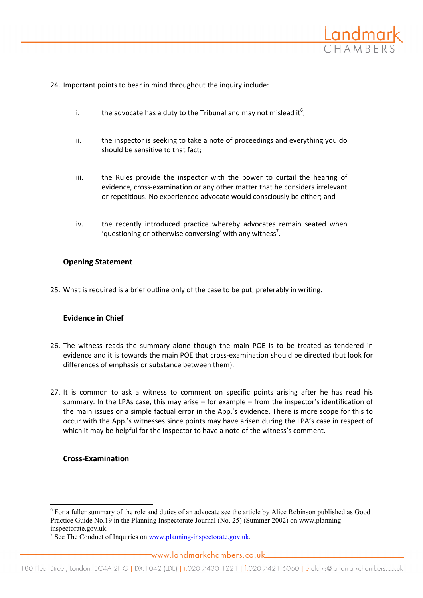

24. Important points to bear in mind throughout the inquiry include:

- i. the advocate has a duty to the Tribunal and may not mislead it<sup>6</sup>;
- ii. the inspector is seeking to take a note of proceedings and everything you do should be sensitive to that fact;
- iii. the Rules provide the inspector with the power to curtail the hearing of evidence, cross-examination or any other matter that he considers irrelevant or repetitious. No experienced advocate would consciously be either; and
- iv. the recently introduced practice whereby advocates remain seated when 'questioning or otherwise conversing' with any witness<sup>7</sup>.

# Opening Statement

25. What is required is a brief outline only of the case to be put, preferably in writing.

# Evidence in Chief

- 26. The witness reads the summary alone though the main POE is to be treated as tendered in evidence and it is towards the main POE that cross-examination should be directed (but look for differences of emphasis or substance between them).
- 27. It is common to ask a witness to comment on specific points arising after he has read his summary. In the LPAs case, this may arise – for example – from the inspector's identification of the main issues or a simple factual error in the App.'s evidence. There is more scope for this to occur with the App.'s witnesses since points may have arisen during the LPA's case in respect of which it may be helpful for the inspector to have a note of the witness's comment.

# Cross-Examination

l <sup>6</sup> For a fuller summary of the role and duties of an advocate see the article by Alice Robinson published as Good Practice Guide No.19 in the Planning Inspectorate Journal (No. 25) (Summer 2002) on www.planninginspectorate.gov.uk.

<sup>&</sup>lt;sup>7</sup> See The Conduct of Inquiries on  $\frac{www}{ww}$  planning-inspectorate.gov.uk.

www.landmarkchambers.co.uk....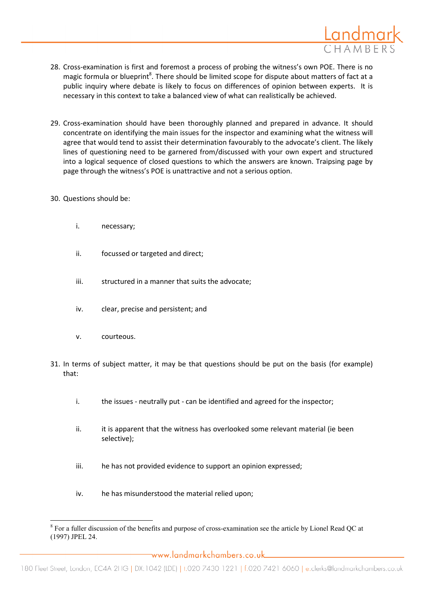

- 28. Cross-examination is first and foremost a process of probing the witness's own POE. There is no magic formula or blueprint<sup>8</sup>. There should be limited scope for dispute about matters of fact at a public inquiry where debate is likely to focus on differences of opinion between experts. It is necessary in this context to take a balanced view of what can realistically be achieved.
- 29. Cross-examination should have been thoroughly planned and prepared in advance. It should concentrate on identifying the main issues for the inspector and examining what the witness will agree that would tend to assist their determination favourably to the advocate's client. The likely lines of questioning need to be garnered from/discussed with your own expert and structured into a logical sequence of closed questions to which the answers are known. Traipsing page by page through the witness's POE is unattractive and not a serious option.
- 30. Questions should be:
	- i. necessary;
	- ii. focussed or targeted and direct;
	- iii. structured in a manner that suits the advocate:
	- iv. clear, precise and persistent; and
	- v. courteous.

l

- 31. In terms of subject matter, it may be that questions should be put on the basis (for example) that:
	- i. the issues neutrally put can be identified and agreed for the inspector;
	- ii. it is apparent that the witness has overlooked some relevant material (ie been selective);
	- iii. he has not provided evidence to support an opinion expressed;
	- iv. he has misunderstood the material relied upon;

www.landmarkchambers.co.uk\_\_

 $8$  For a fuller discussion of the benefits and purpose of cross-examination see the article by Lionel Read QC at (1997) JPEL 24.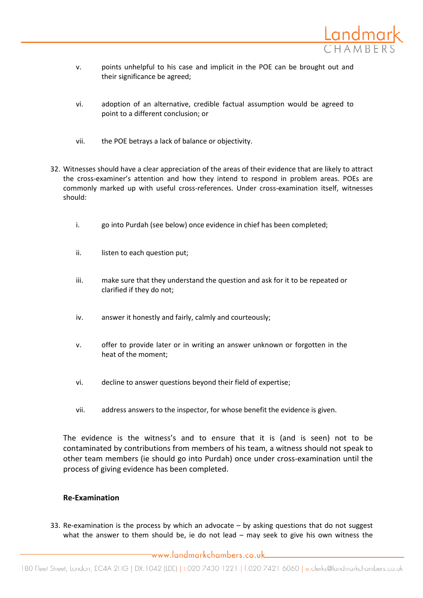

- v. points unhelpful to his case and implicit in the POE can be brought out and their significance be agreed;
- vi. adoption of an alternative, credible factual assumption would be agreed to point to a different conclusion; or
- vii. the POE betrays a lack of balance or objectivity.
- 32. Witnesses should have a clear appreciation of the areas of their evidence that are likely to attract the cross-examiner's attention and how they intend to respond in problem areas. POEs are commonly marked up with useful cross-references. Under cross-examination itself, witnesses should:
	- i. go into Purdah (see below) once evidence in chief has been completed;
	- ii. listen to each question put;
	- iii. make sure that they understand the question and ask for it to be repeated or clarified if they do not;
	- iv. answer it honestly and fairly, calmly and courteously;
	- v. offer to provide later or in writing an answer unknown or forgotten in the heat of the moment;
	- vi. decline to answer questions beyond their field of expertise;
	- vii. address answers to the inspector, for whose benefit the evidence is given.

The evidence is the witness's and to ensure that it is (and is seen) not to be contaminated by contributions from members of his team, a witness should not speak to other team members (ie should go into Purdah) once under cross-examination until the process of giving evidence has been completed.

# Re-Examination

33. Re-examination is the process by which an advocate – by asking questions that do not suggest what the answer to them should be, ie do not lead – may seek to give his own witness the

www.landmarkchambers.co.uk\_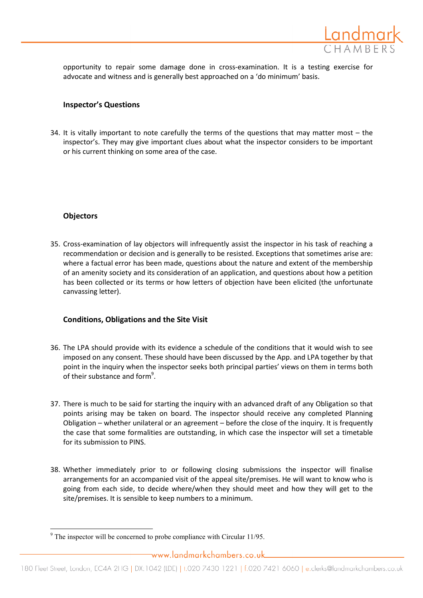

opportunity to repair some damage done in cross-examination. It is a testing exercise for advocate and witness and is generally best approached on a 'do minimum' basis.

## Inspector's Questions

34. It is vitally important to note carefully the terms of the questions that may matter most – the inspector's. They may give important clues about what the inspector considers to be important or his current thinking on some area of the case.

# **Objectors**

35. Cross-examination of lay objectors will infrequently assist the inspector in his task of reaching a recommendation or decision and is generally to be resisted. Exceptions that sometimes arise are: where a factual error has been made, questions about the nature and extent of the membership of an amenity society and its consideration of an application, and questions about how a petition has been collected or its terms or how letters of objection have been elicited (the unfortunate canvassing letter).

# Conditions, Obligations and the Site Visit

- 36. The LPA should provide with its evidence a schedule of the conditions that it would wish to see imposed on any consent. These should have been discussed by the App. and LPA together by that point in the inquiry when the inspector seeks both principal parties' views on them in terms both of their substance and form<sup>9</sup>.
- 37. There is much to be said for starting the inquiry with an advanced draft of any Obligation so that points arising may be taken on board. The inspector should receive any completed Planning Obligation – whether unilateral or an agreement – before the close of the inquiry. It is frequently the case that some formalities are outstanding, in which case the inspector will set a timetable for its submission to PINS.
- 38. Whether immediately prior to or following closing submissions the inspector will finalise arrangements for an accompanied visit of the appeal site/premises. He will want to know who is going from each side, to decide where/when they should meet and how they will get to the site/premises. It is sensible to keep numbers to a minimum.

l  $9^9$  The inspector will be concerned to probe compliance with Circular 11/95.